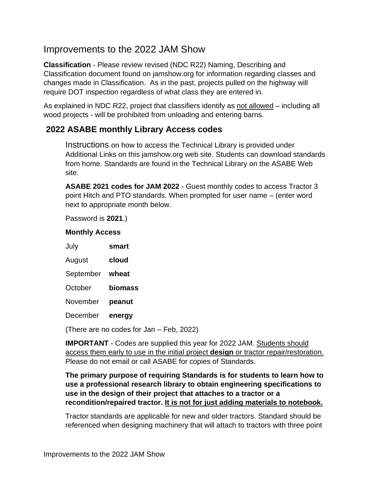# Improvements to the 2022 JAM Show

**Classification** - Please review revised (NDC R22) Naming, Describing and Classification document found on jamshow.org for information regarding classes and changes made in Classification. As in the past, projects pulled on the highway will require DOT inspection regardless of what class they are entered in.

As explained in NDC R22, project that classifiers identify as not allowed – including all wood projects - will be prohibited from unloading and entering barns.

### **2022 ASABE monthly Library Access codes**

Instructions on how to access the Technical Library is provided under Additional Links on this jamshow.org web site. Students can download standards from home. Standards are found in the Technical Library on the ASABE Web site.

**ASABE 2021 codes for JAM 2022** - Guest monthly codes to access Tractor 3 point Hitch and PTO standards. When prompted for user name – (enter word next to appropriate month below.

Password is **2021**.)

#### **Monthly Access**

| July      | smart   |
|-----------|---------|
| August    | cloud   |
| September | wheat   |
| October   | biomass |
| November  | peanut  |
| December  | energy  |

(There are no codes for Jan – Feb, 2022)

**IMPORTANT** - Codes are supplied this year for 2022 JAM. Students should access them early to use in the initial project **design** or tractor repair/restoration. Please do not email or call ASABE for copies of Standards.

### **The primary purpose of requiring Standards is for students to learn how to use a professional research library to obtain engineering specifications to use in the design of their project that attaches to a tractor or a recondition/repaired tractor. It is not for just adding materials to notebook.**

Tractor standards are applicable for new and older tractors. Standard should be referenced when designing machinery that will attach to tractors with three point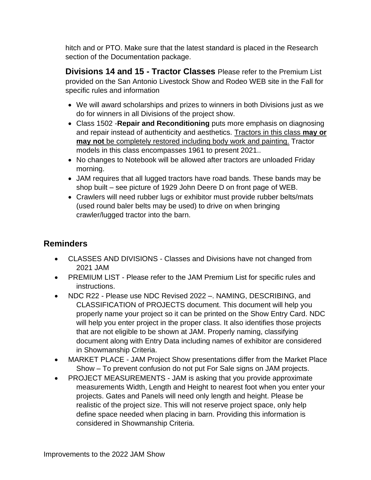hitch and or PTO. Make sure that the latest standard is placed in the Research section of the Documentation package.

**Divisions 14 and 15 - Tractor Classes** Please refer to the Premium List provided on the San Antonio Livestock Show and Rodeo WEB site in the Fall for specific rules and information

- We will award scholarships and prizes to winners in both Divisions just as we do for winners in all Divisions of the project show.
- Class 1502 -**Repair and Reconditioning** puts more emphasis on diagnosing and repair instead of authenticity and aesthetics. Tractors in this class **may or may not** be completely restored including body work and painting. Tractor models in this class encompasses 1961 to present 2021..
- No changes to Notebook will be allowed after tractors are unloaded Friday morning.
- JAM requires that all lugged tractors have road bands. These bands may be shop built – see picture of 1929 John Deere D on front page of WEB.
- Crawlers will need rubber lugs or exhibitor must provide rubber belts/mats (used round baler belts may be used) to drive on when bringing crawler/lugged tractor into the barn.

## **Reminders**

- CLASSES AND DIVISIONS Classes and Divisions have not changed from 2021 JAM
- PREMIUM LIST Please refer to the JAM Premium List for specific rules and instructions.
- NDC R22 Please use NDC Revised 2022 –. NAMING, DESCRIBING, and CLASSIFICATION of PROJECTS document. This document will help you properly name your project so it can be printed on the Show Entry Card. NDC will help you enter project in the proper class. It also identifies those projects that are not eligible to be shown at JAM. Properly naming, classifying document along with Entry Data including names of exhibitor are considered in Showmanship Criteria.
- MARKET PLACE JAM Project Show presentations differ from the Market Place Show – To prevent confusion do not put For Sale signs on JAM projects.
- PROJECT MEASUREMENTS JAM is asking that you provide approximate measurements Width, Length and Height to nearest foot when you enter your projects. Gates and Panels will need only length and height. Please be realistic of the project size. This will not reserve project space, only help define space needed when placing in barn. Providing this information is considered in Showmanship Criteria.